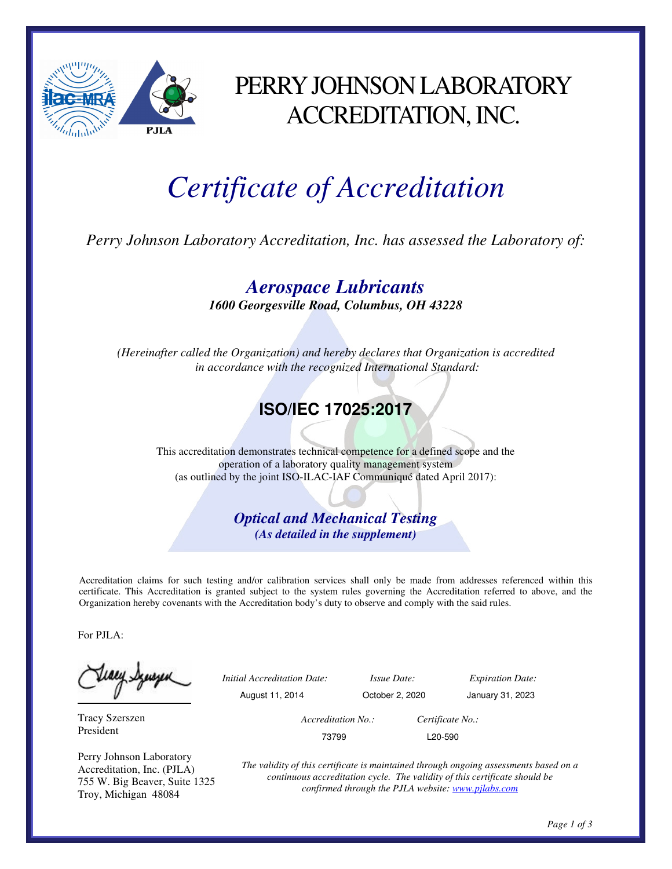

# PERRY JOHNSON LABORATORY ACCREDITATION, INC.

# *Certificate of Accreditation*

*Perry Johnson Laboratory Accreditation, Inc. has assessed the Laboratory of:* 

*Aerospace Lubricants 1600 Georgesville Road, Columbus, OH 43228* 

*(Hereinafter called the Organization) and hereby declares that Organization is accredited in accordance with the recognized International Standard:* 

## **ISO/IEC 17025:2017**

This accreditation demonstrates technical competence for a defined scope and the operation of a laboratory quality management system (as outlined by the joint ISO-ILAC-IAF Communiqué dated April 2017):

> *Optical and Mechanical Testing (As detailed in the supplement)*

Accreditation claims for such testing and/or calibration services shall only be made from addresses referenced within this certificate. This Accreditation is granted subject to the system rules governing the Accreditation referred to above, and the Organization hereby covenants with the Accreditation body's duty to observe and comply with the said rules.

For PJLA:

teacy Synsys

Tracy Szerszen President

Perry Johnson Laboratory Accreditation, Inc. (PJLA) 755 W. Big Beaver, Suite 1325 Troy, Michigan 48084

 *Initial Accreditation Date: Issue Date: Expiration Date:* 

August 11, 2014 October 2, 2020 January 31, 2023

 *Accreditation No.: Certificate No.:* 

73799 L20-590

*The validity of this certificate is maintained through ongoing assessments based on a continuous accreditation cycle. The validity of this certificate should be confirmed through the PJLA website: www.pjlabs.com*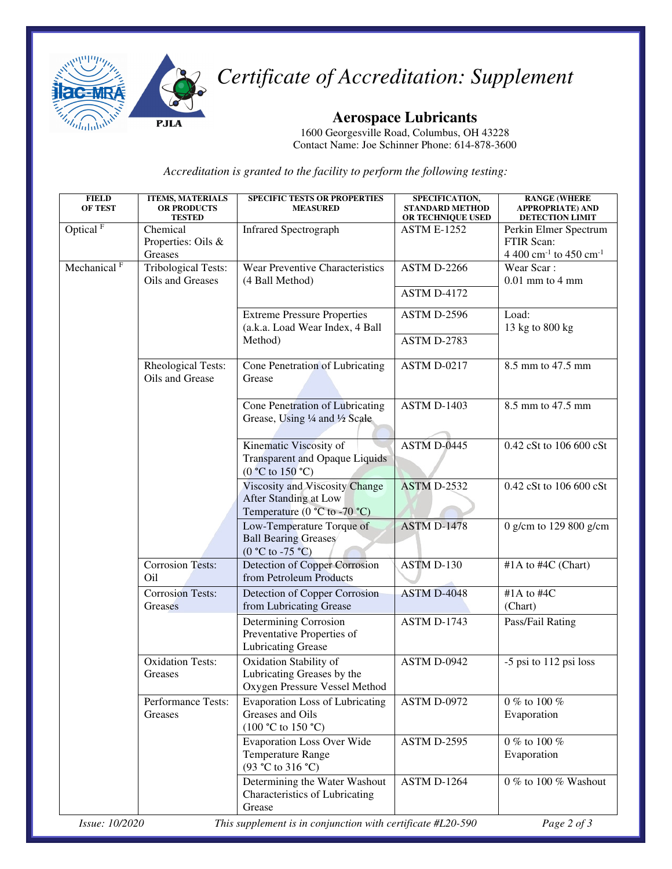

*Certificate of Accreditation: Supplement* 

#### **Aerospace Lubricants**

1600 Georgesville Road, Columbus, OH 43228 Contact Name: Joe Schinner Phone: 614-878-3600

*Accreditation is granted to the facility to perform the following testing:* 

| <b>FIELD</b><br><b>OF TEST</b> | <b>ITEMS, MATERIALS</b><br><b>OR PRODUCTS</b><br><b>TESTED</b> | <b>SPECIFIC TESTS OR PROPERTIES</b><br><b>MEASURED</b>                                                             | SPECIFICATION,<br><b>STANDARD METHOD</b><br>OR TECHNIQUE USED | <b>RANGE (WHERE</b><br><b>APPROPRIATE) AND</b><br><b>DETECTION LIMIT</b>              |
|--------------------------------|----------------------------------------------------------------|--------------------------------------------------------------------------------------------------------------------|---------------------------------------------------------------|---------------------------------------------------------------------------------------|
| Optical <sup>F</sup>           | Chemical<br>Properties: Oils &<br>Greases                      | <b>Infrared Spectrograph</b>                                                                                       | <b>ASTM E-1252</b>                                            | Perkin Elmer Spectrum<br>FTIR Scan:<br>4 400 cm <sup>-1</sup> to 450 cm <sup>-1</sup> |
| Mechanical <sup>F</sup>        | <b>Tribological Tests:</b><br>Oils and Greases                 | Wear Preventive Characteristics<br>(4 Ball Method)                                                                 | <b>ASTM D-2266</b><br><b>ASTM D-4172</b>                      | Wear Scar:<br>$0.01$ mm to $4$ mm                                                     |
|                                |                                                                | <b>Extreme Pressure Properties</b><br>(a.k.a. Load Wear Index, 4 Ball<br>Method)                                   | ASTM D-2596<br>ASTM D-2783                                    | Load:<br>13 kg to 800 kg                                                              |
|                                | Rheological Tests:<br>Oils and Grease                          | Cone Penetration of Lubricating<br>Grease                                                                          | <b>ASTM D-0217</b>                                            | 8.5 mm to 47.5 mm                                                                     |
|                                |                                                                | Cone Penetration of Lubricating<br>Grease, Using 1/4 and 1/2 Scale                                                 | <b>ASTM D-1403</b>                                            | 8.5 mm to 47.5 mm                                                                     |
|                                |                                                                | Kinematic Viscosity of<br><b>Transparent and Opaque Liquids</b><br>$(0 °C)$ to 150 °C)                             | <b>ASTM D-0445</b>                                            | 0.42 cSt to 106 600 cSt                                                               |
|                                |                                                                | Viscosity and Viscosity Change<br><b>After Standing at Low</b><br>Temperature ( $0^{\circ}$ C to -70 $^{\circ}$ C) | <b>ASTM D-2532</b>                                            | 0.42 cSt to 106 600 cSt                                                               |
|                                |                                                                | Low-Temperature Torque of<br><b>Ball Bearing Greases</b><br>$(0 °C)$ to -75 °C)                                    | <b>ASTM D-1478</b>                                            | 0 g/cm to 129 800 g/cm                                                                |
|                                | <b>Corrosion Tests:</b><br>O <sub>il</sub>                     | <b>Detection of Copper Corrosion</b><br>from Petroleum Products                                                    | ASTM D-130                                                    | #1A to #4C (Chart)                                                                    |
|                                | <b>Corrosion Tests:</b><br>Greases                             | Detection of Copper Corrosion<br>from Lubricating Grease                                                           | <b>ASTM D-4048</b>                                            | #1A to $#4C$<br>(Chart)                                                               |
|                                |                                                                | Determining Corrosion<br>Preventative Properties of<br><b>Lubricating Grease</b>                                   | <b>ASTM D-1743</b>                                            | Pass/Fail Rating                                                                      |
|                                | <b>Oxidation Tests:</b><br>Greases                             | Oxidation Stability of<br>Lubricating Greases by the<br>Oxygen Pressure Vessel Method                              | <b>ASTM D-0942</b>                                            | -5 psi to 112 psi loss                                                                |
|                                | Performance Tests:<br>Greases                                  | <b>Evaporation Loss of Lubricating</b><br>Greases and Oils<br>$(100 °C)$ to 150 °C)                                | ASTM D-0972                                                   | 0 % to 100 %<br>Evaporation                                                           |
|                                |                                                                | <b>Evaporation Loss Over Wide</b><br><b>Temperature Range</b><br>(93 °C to 316 °C)                                 | <b>ASTM D-2595</b>                                            | 0 % to 100 %<br>Evaporation                                                           |
|                                |                                                                | Determining the Water Washout<br>Characteristics of Lubricating<br>Grease                                          | <b>ASTM D-1264</b>                                            | 0 % to 100 % Washout                                                                  |
| Issue: 10/2020                 | Page 2 of 3                                                    |                                                                                                                    |                                                               |                                                                                       |